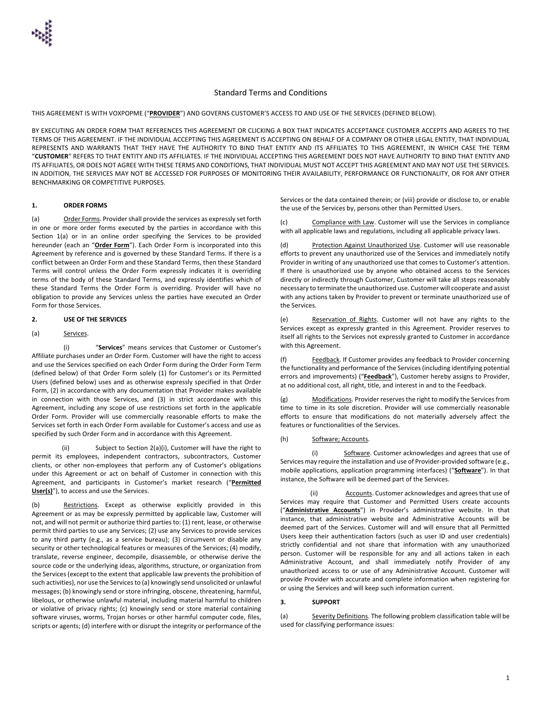## Standard Terms and Conditions

THIS AGREEMENT IS WITH VOXPOPME ("**PROVIDER**") AND GOVERNS CUSTOMER'S ACCESS TO AND USE OF THE SERVICES (DEFINED BELOW).

BY EXECUTING AN ORDER FORM THAT REFERENCES THIS AGREEMENT OR CLICKING A BOX THAT INDICATES ACCEPTANCE CUSTOMER ACCEPTS AND AGREES TO THE TERMS OF THIS AGREEMENT. IF THE INDIVIDUAL ACCEPTING THIS AGREEMENT IS ACCEPTING ON BEHALF OF A COMPANY OR OTHER LEGAL ENTITY, THAT INDIVIDUAL REPRESENTS AND WARRANTS THAT THEY HAVE THE AUTHORITY TO BIND THAT ENTITY AND ITS AFFILIATES TO THIS AGREEMENT, IN WHICH CASE THE TERM "**CUSTOMER**" REFERS TO THAT ENTITY AND ITS AFFILIATES. IF THE INDIVIDUAL ACCEPTING THIS AGREEMENT DOES NOT HAVE AUTHORITY TO BIND THAT ENTITY AND ITS AFFILIATES, OR DOES NOT AGREE WITH THESE TERMS AND CONDITIONS, THAT INDIVIDUAL MUST NOT ACCEPT THIS AGREEMENT AND MAY NOT USE THE SERVICES. IN ADDITION, THE SERVICES MAY NOT BE ACCESSED FOR PURPOSES OF MONITORING THEIR AVAILABILITY, PERFORMANCE OR FUNCTIONALITY, OR FOR ANY OTHER BENCHMARKING OR COMPETITIVE PURPOSES.

#### **1. ORDER FORMS**

(a) Order Forms. Provider shall provide the services as expressly set forth in one or more order forms executed by the parties in accordance with this Section 1(a) or in an online order specifying the Services to be provided hereunder (each an "**Order Form**"). Each Order Form is incorporated into this Agreement by reference and is governed by these Standard Terms. If there is a conflict between an Order Form and these Standard Terms, then these Standard Terms will control unless the Order Form expressly indicates it is overriding terms of the body of these Standard Terms, and expressly identifies which of these Standard Terms the Order Form is overriding. Provider will have no obligation to provide any Services unless the parties have executed an Order Form for those Services.

## **2. USE OF THE SERVICES**

#### (a) Services.

(i) "**Services**" means services that Customer or Customer's Affiliate purchases under an Order Form. Customer will have the right to access and use the Services specified on each Order Form during the Order Form Term (defined below) of that Order Form solely (1) for Customer's or its Permitted Users (defined below) uses and as otherwise expressly specified in that Order Form, (2) in accordance with any documentation that Provider makes available in connection with those Services, and (3) in strict accordance with this Agreement, including any scope of use restrictions set forth in the applicable Order Form. Provider will use commercially reasonable efforts to make the Services set forth in each Order Form available for Customer's access and use as specified by such Order Form and in accordance with this Agreement.

(ii) Subject to Section 2(a)(i), Customer will have the right to permit its employees, independent contractors, subcontractors, Customer clients, or other non-employees that perform any of Customer's obligations under this Agreement or act on behalf of Customer in connection with this Agreement, and participants in Customer's market research ("**Permitted User(s)**"), to access and use the Services.

(b) Restrictions. Except as otherwise explicitly provided in this Agreement or as may be expressly permitted by applicable law, Customer will not, and will not permit or authorize third parties to: (1) rent, lease, or otherwise permit third parties to use any Services; (2) use any Services to provide services to any third party (e.g., as a service bureau); (3) circumvent or disable any security or other technological features or measures of the Services; (4) modify, translate, reverse engineer, decompile, disassemble, or otherwise derive the source code or the underlying ideas, algorithms, structure, or organization from the Services (except to the extent that applicable law prevents the prohibition of such activities), nor use the Services to (a) knowingly send unsolicited or unlawful messages; (b) knowingly send or store infringing, obscene, threatening, harmful, libelous, or otherwise unlawful material, including material harmful to children or violative of privacy rights; (c) knowingly send or store material containing software viruses, worms, Trojan horses or other harmful computer code, files, scripts or agents; (d) interfere with or disrupt the integrity or performance of the

Services or the data contained therein; or (viii) provide or disclose to, or enable the use of the Services by, persons other than Permitted Users.

(c) Compliance with Law. Customer will use the Services in compliance with all applicable laws and regulations, including all applicable privacy laws.

(d) Protection Against Unauthorized Use. Customer will use reasonable efforts to prevent any unauthorized use of the Services and immediately notify Provider in writing of any unauthorized use that comes to Customer's attention. If there is unauthorized use by anyone who obtained access to the Services directly or indirectly through Customer, Customer will take all steps reasonably necessary to terminate the unauthorized use. Customer will cooperate and assist with any actions taken by Provider to prevent or terminate unauthorized use of the Services.

(e) Reservation of Rights. Customer will not have any rights to the Services except as expressly granted in this Agreement. Provider reserves to itself all rights to the Services not expressly granted to Customer in accordance with this Agreement.

(f) Feedback. If Customer provides any feedback to Provider concerning the functionality and performance of the Services (including identifying potential errors and improvements) ("**Feedback**"), Customer hereby assigns to Provider, at no additional cost, all right, title, and interest in and to the Feedback.

(g) Modifications. Provider reserves the right to modify the Services from time to time in its sole discretion. Provider will use commercially reasonable efforts to ensure that modifications do not materially adversely affect the features or functionalities of the Services.

#### (h) Software; Accounts.

(i) Software. Customer acknowledges and agrees that use of Services may require the installation and use of Provider-provided software (e.g., mobile applications, application programming interfaces) ("**Software**"). In that instance, the Software will be deemed part of the Services.

Accounts. Customer acknowledges and agrees that use of Services may require that Customer and Permitted Users create accounts ("**Administrative Accounts**") in Provider's administrative website. In that instance, that administrative website and Administrative Accounts will be deemed part of the Services. Customer will and will ensure that all Permitted Users keep their authentication factors (such as user ID and user credentials) strictly confidential and not share that information with any unauthorized person. Customer will be responsible for any and all actions taken in each Administrative Account, and shall immediately notify Provider of any unauthorized access to or use of any Administrative Account. Customer will provide Provider with accurate and complete information when registering for or using the Services and will keep such information current.

### **3. SUPPORT**

(a) Severity Definitions. The following problem classification table will be used for classifying performance issues: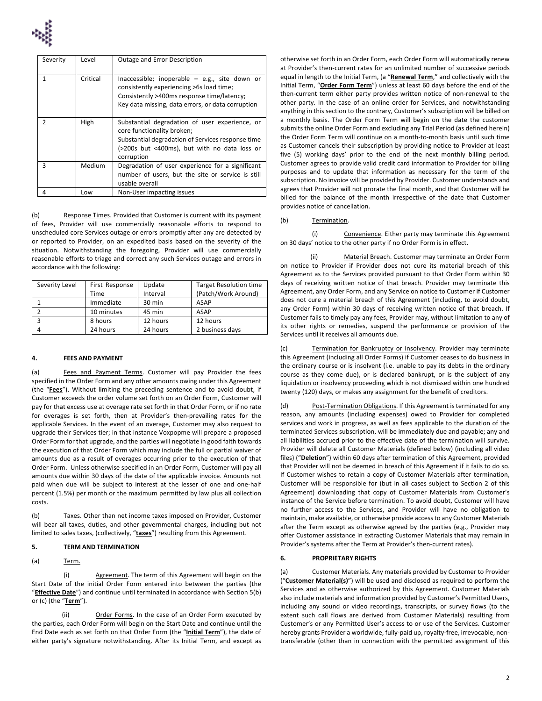

| Severity      | Level    | Outage and Error Description                                                                                                                                                                    |  |
|---------------|----------|-------------------------------------------------------------------------------------------------------------------------------------------------------------------------------------------------|--|
| 1             | Critical | Inaccessible; inoperable $-$ e.g., site down or<br>consistently experiencing >6s load time;<br>Consistently >400ms response time/latency;<br>Key data missing, data errors, or data corruption  |  |
| $\mathcal{P}$ | High     | Substantial degradation of user experience, or<br>core functionality broken;<br>Substantial degradation of Services response time<br>(>200s but <400ms), but with no data loss or<br>corruption |  |
| 3             | Medium   | Degradation of user experience for a significant<br>number of users, but the site or service is still<br>usable overall                                                                         |  |
| 4             | Low      | Non-User impacting issues                                                                                                                                                                       |  |

(b) Response Times. Provided that Customer is current with its payment of fees, Provider will use commercially reasonable efforts to respond to unscheduled core Services outage or errors promptly after any are detected by or reported to Provider, on an expedited basis based on the severity of the situation. Notwithstanding the foregoing, Provider will use commercially reasonable efforts to triage and correct any such Services outage and errors in accordance with the following:

| Severity Level | First Response | Update   | <b>Target Resolution time</b> |
|----------------|----------------|----------|-------------------------------|
|                | Time           | Interval | (Patch/Work Around)           |
|                | Immediate      | 30 min   | <b>ASAP</b>                   |
|                | 10 minutes     | 45 min   | <b>ASAP</b>                   |
| 3              | 8 hours        | 12 hours | 12 hours                      |
|                | 24 hours       | 24 hours | 2 business days               |

### **4. FEES AND PAYMENT**

(a) Fees and Payment Terms. Customer will pay Provider the fees specified in the Order Form and any other amounts owing under this Agreement (the "**Fees**"). Without limiting the preceding sentence and to avoid doubt, if Customer exceeds the order volume set forth on an Order Form, Customer will pay for that excess use at overage rate set forth in that Order Form, or if no rate for overages is set forth, then at Provider's then-prevailing rates for the applicable Services. In the event of an overage, Customer may also request to upgrade their Services tier; in that instance Voxpopme will prepare a proposed Order Form for that upgrade, and the parties will negotiate in good faith towards the execution of that Order Form which may include the full or partial waiver of amounts due as a result of overages occurring prior to the execution of that Order Form. Unless otherwise specified in an Order Form, Customer will pay all amounts due within 30 days of the date of the applicable invoice. Amounts not paid when due will be subject to interest at the lesser of one and one-half percent (1.5%) per month or the maximum permitted by law plus all collection costs.

(b) Taxes. Other than net income taxes imposed on Provider, Customer will bear all taxes, duties, and other governmental charges, including but not limited to sales taxes, (collectively, "**taxes**") resulting from this Agreement.

## **5. TERM AND TERMINATION**

## (a) Term.

(i) Agreement. The term of this Agreement will begin on the Start Date of the initial Order Form entered into between the parties (the "**Effective Date**") and continue until terminated in accordance with Section 5(b) or (c) (the "**Term**").

(ii) Order Forms. In the case of an Order Form executed by the parties, each Order Form will begin on the Start Date and continue until the End Date each as set forth on that Order Form (the "**Initial Term**"), the date of either party's signature notwithstanding. After its Initial Term, and except as

otherwise set forth in an Order Form, each Order Form will automatically renew at Provider's then-current rates for an unlimited number of successive periods equal in length to the Initial Term, (a "**Renewal Term**," and collectively with the Initial Term, "**Order Form Term**") unless at least 60 days before the end of the then-current term either party provides written notice of non-renewal to the other party. In the case of an online order for Services, and notwithstanding anything in this section to the contrary, Customer's subscription will be billed on a monthly basis. The Order Form Term will begin on the date the customer submits the online Order Form and excluding any Trial Period (as defined herein) the Order Form Term will continue on a month-to-month basis until such time as Customer cancels their subscription by providing notice to Provider at least five (5) working days' prior to the end of the next monthly billing period. Customer agrees to provide valid credit card information to Provider for billing purposes and to update that information as necessary for the term of the subscription. No invoice will be provided by Provider. Customer understands and agrees that Provider will not prorate the final month, and that Customer will be billed for the balance of the month irrespective of the date that Customer provides notice of cancellation.

#### (b) Termination.

(i) Convenience. Either party may terminate this Agreement on 30 days' notice to the other party if no Order Form is in effect.

Material Breach. Customer may terminate an Order Form on notice to Provider if Provider does not cure its material breach of this Agreement as to the Services provided pursuant to that Order Form within 30 days of receiving written notice of that breach. Provider may terminate this Agreement, any Order Form, and any Service on notice to Customer if Customer does not cure a material breach of this Agreement (including, to avoid doubt, any Order Form) within 30 days of receiving written notice of that breach. If Customer fails to timely pay any fees, Provider may, without limitation to any of its other rights or remedies, suspend the performance or provision of the Services until it receives all amounts due.

(c) Termination for Bankruptcy or Insolvency. Provider may terminate this Agreement (including all Order Forms) if Customer ceases to do business in the ordinary course or is insolvent (i.e. unable to pay its debts in the ordinary course as they come due), or is declared bankrupt, or is the subject of any liquidation or insolvency proceeding which is not dismissed within one hundred twenty (120) days, or makes any assignment for the benefit of creditors.

Post-Termination Obligations. If this Agreement is terminated for any reason, any amounts (including expenses) owed to Provider for completed services and work in progress, as well as fees applicable to the duration of the terminated Services subscription, will be immediately due and payable; any and all liabilities accrued prior to the effective date of the termination will survive. Provider will delete all Customer Materials (defined below) (including all video files) ("**Deletion**") within 60 days after termination of this Agreement, provided that Provider will not be deemed in breach of this Agreement if it fails to do so. If Customer wishes to retain a copy of Customer Materials after termination, Customer will be responsible for (but in all cases subject to Section 2 of this Agreement) downloading that copy of Customer Materials from Customer's instance of the Service before termination. To avoid doubt, Customer will have no further access to the Services, and Provider will have no obligation to maintain, make available, or otherwise provide access to any Customer Materials after the Term except as otherwise agreed by the parties (e.g., Provider may offer Customer assistance in extracting Customer Materials that may remain in Provider's systems after the Term at Provider's then-current rates).

#### **6. PROPRIETARY RIGHTS**

(a) Customer Materials. Any materials provided by Customer to Provider ("**Customer Material(s)**") will be used and disclosed as required to perform the Services and as otherwise authorized by this Agreement. Customer Materials also include materials and information provided by Customer's Permitted Users, including any sound or video recordings, transcripts, or survey flows (to the extent such call flows are derived from Customer Materials) resulting from Customer's or any Permitted User's access to or use of the Services. Customer hereby grants Provider a worldwide, fully-paid up, royalty-free, irrevocable, nontransferable (other than in connection with the permitted assignment of this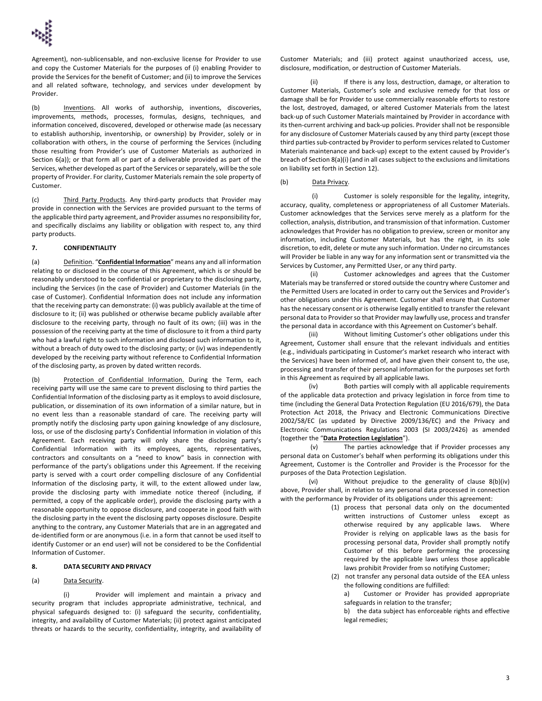

Agreement), non-sublicensable, and non-exclusive license for Provider to use and copy the Customer Materials for the purposes of (i) enabling Provider to provide the Services for the benefit of Customer; and (ii) to improve the Services and all related software, technology, and services under development by Provider.

(b) Inventions. All works of authorship, inventions, discoveries, improvements, methods, processes, formulas, designs, techniques, and information conceived, discovered, developed or otherwise made (as necessary to establish authorship, inventorship, or ownership) by Provider, solely or in collaboration with others, in the course of performing the Services (including those resulting from Provider's use of Customer Materials as authorized in Section 6(a)); or that form all or part of a deliverable provided as part of the Services, whether developed as part of the Services or separately, will be the sole property of Provider. For clarity, Customer Materials remain the sole property of Customer.

(c) Third Party Products. Any third-party products that Provider may provide in connection with the Services are provided pursuant to the terms of the applicable third party agreement, and Provider assumes no responsibility for, and specifically disclaims any liability or obligation with respect to, any third party products.

### **7. CONFIDENTIALITY**

(a) Definition. "**Confidential Information**" means any and all information relating to or disclosed in the course of this Agreement, which is or should be reasonably understood to be confidential or proprietary to the disclosing party, including the Services (in the case of Provider) and Customer Materials (in the case of Customer). Confidential Information does not include any information that the receiving party can demonstrate: (i) was publicly available at the time of disclosure to it; (ii) was published or otherwise became publicly available after disclosure to the receiving party, through no fault of its own; (iii) was in the possession of the receiving party at the time of disclosure to it from a third party who had a lawful right to such information and disclosed such information to it, without a breach of duty owed to the disclosing party; or (iv) was independently developed by the receiving party without reference to Confidential Information of the disclosing party, as proven by dated written records.

(b) Protection of Confidential Information. During the Term, each receiving party will use the same care to prevent disclosing to third parties the Confidential Information of the disclosing party as it employs to avoid disclosure, publication, or dissemination of its own information of a similar nature, but in no event less than a reasonable standard of care. The receiving party will promptly notify the disclosing party upon gaining knowledge of any disclosure, loss, or use of the disclosing party's Confidential Information in violation of this Agreement. Each receiving party will only share the disclosing party's Confidential Information with its employees, agents, representatives, contractors and consultants on a "need to know" basis in connection with performance of the party's obligations under this Agreement. If the receiving party is served with a court order compelling disclosure of any Confidential Information of the disclosing party, it will, to the extent allowed under law, provide the disclosing party with immediate notice thereof (including, if permitted, a copy of the applicable order), provide the disclosing party with a reasonable opportunity to oppose disclosure, and cooperate in good faith with the disclosing party in the event the disclosing party opposes disclosure. Despite anything to the contrary, any Customer Materials that are in an aggregated and de-identified form or are anonymous (i.e. in a form that cannot be used itself to identify Customer or an end user) will not be considered to be the Confidential Information of Customer.

# **8. DATA SECURITY AND PRIVACY**

### (a) Data Security.

(i) Provider will implement and maintain a privacy and security program that includes appropriate administrative, technical, and physical safeguards designed to: (i) safeguard the security, confidentiality, integrity, and availability of Customer Materials; (ii) protect against anticipated threats or hazards to the security, confidentiality, integrity, and availability of

Customer Materials; and (iii) protect against unauthorized access, use, disclosure, modification, or destruction of Customer Materials.

(ii) If there is any loss, destruction, damage, or alteration to Customer Materials, Customer's sole and exclusive remedy for that loss or damage shall be for Provider to use commercially reasonable efforts to restore the lost, destroyed, damaged, or altered Customer Materials from the latest back-up of such Customer Materials maintained by Provider in accordance with its then-current archiving and back-up policies. Provider shall not be responsible for any disclosure of Customer Materials caused by any third party (except those third parties sub-contracted by Provider to perform services related to Customer Materials maintenance and back-up) except to the extent caused by Provider's breach of Section 8(a)(i) (and in all cases subject to the exclusions and limitations on liability set forth in Section 12).

# (b) Data Privacy.

(i) Customer is solely responsible for the legality, integrity, accuracy, quality, completeness or appropriateness of all Customer Materials. Customer acknowledges that the Services serve merely as a platform for the collection, analysis, distribution, and transmission of that information. Customer acknowledges that Provider has no obligation to preview, screen or monitor any information, including Customer Materials, but has the right, in its sole discretion, to edit, delete or mute any such information. Under no circumstances will Provider be liable in any way for any information sent or transmitted via the Services by Customer, any Permitted User, or any third party.

(ii) Customer acknowledges and agrees that the Customer Materials may be transferred or stored outside the country where Customer and the Permitted Users are located in order to carry out the Services and Provider's other obligations under this Agreement. Customer shall ensure that Customer has the necessary consent or is otherwise legally entitled to transfer the relevant personal data to Provider so that Provider may lawfully use, process and transfer the personal data in accordance with this Agreement on Customer's behalf.

(iii) Without limiting Customer's other obligations under this Agreement, Customer shall ensure that the relevant individuals and entities (e.g., individuals participating in Customer's market research who interact with the Services) have been informed of, and have given their consent to, the use, processing and transfer of their personal information for the purposes set forth in this Agreement as required by all applicable laws.

(iv) Both parties will comply with all applicable requirements of the applicable data protection and privacy legislation in force from time to time (including the General Data Protection Regulation (EU 2016/679), the Data Protection Act 2018, the Privacy and Electronic Communications Directive 2002/58/EC (as updated by Directive 2009/136/EC) and the Privacy and Electronic Communications Regulations 2003 (SI 2003/2426) as amended (together the "**Data Protection Legislation**").

(v) The parties acknowledge that if Provider processes any personal data on Customer's behalf when performing its obligations under this Agreement, Customer is the Controller and Provider is the Processor for the purposes of the Data Protection Legislation.

(vi) Without prejudice to the generality of clause 8(b)(iv) above, Provider shall, in relation to any personal data processed in connection with the performance by Provider of its obligations under this agreement:

- (1) process that personal data only on the documented written instructions of Customer unless except as otherwise required by any applicable laws. Where Provider is relying on applicable laws as the basis for processing personal data, Provider shall promptly notify Customer of this before performing the processing required by the applicable laws unless those applicable laws prohibit Provider from so notifying Customer;
- (2) not transfer any personal data outside of the EEA unless the following conditions are fulfilled:

a) Customer or Provider has provided appropriate safeguards in relation to the transfer;

b) the data subject has enforceable rights and effective legal remedies;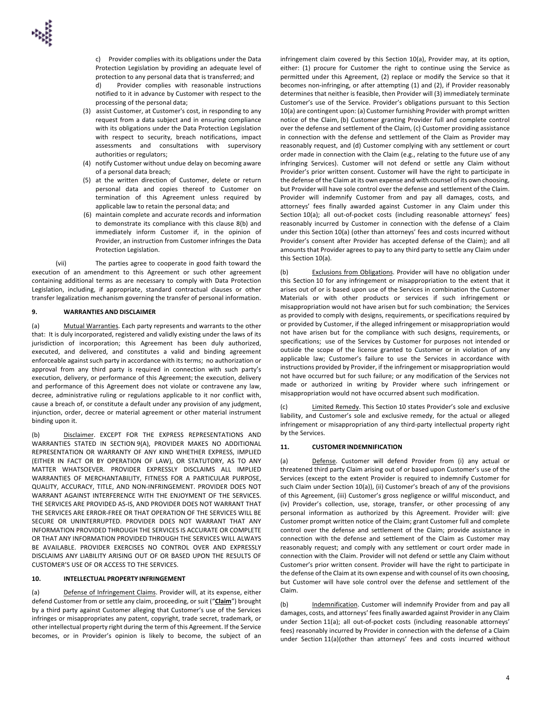c) Provider complies with its obligations under the Data Protection Legislation by providing an adequate level of protection to any personal data that is transferred; and

d) Provider complies with reasonable instructions notified to it in advance by Customer with respect to the processing of the personal data;

- (3) assist Customer, at Customer's cost, in responding to any request from a data subject and in ensuring compliance with its obligations under the Data Protection Legislation with respect to security, breach notifications, impact assessments and consultations with supervisory authorities or regulators;
- (4) notify Customer without undue delay on becoming aware of a personal data breach;
- (5) at the written direction of Customer, delete or return personal data and copies thereof to Customer on termination of this Agreement unless required by applicable law to retain the personal data; and
- (6) maintain complete and accurate records and information to demonstrate its compliance with this clause 8(b) and immediately inform Customer if, in the opinion of Provider, an instruction from Customer infringes the Data Protection Legislation.

(vii) The parties agree to cooperate in good faith toward the execution of an amendment to this Agreement or such other agreement containing additional terms as are necessary to comply with Data Protection Legislation, including, if appropriate, standard contractual clauses or other transfer legalization mechanism governing the transfer of personal information.

## **9. WARRANTIES AND DISCLAIMER**

(a) Mutual Warranties. Each party represents and warrants to the other that: It is duly incorporated, registered and validly existing under the laws of its jurisdiction of incorporation; this Agreement has been duly authorized, executed, and delivered, and constitutes a valid and binding agreement enforceable against such party in accordance with its terms; no authorization or approval from any third party is required in connection with such party's execution, delivery, or performance of this Agreement; the execution, delivery and performance of this Agreement does not violate or contravene any law, decree, administrative ruling or regulations applicable to it nor conflict with, cause a breach of, or constitute a default under any provision of any judgment, injunction, order, decree or material agreement or other material instrument binding upon it.

(b) Disclaimer. EXCEPT FOR THE EXPRESS REPRESENTATIONS AND WARRANTIES STATED IN SECTION 9(A), PROVIDER MAKES NO ADDITIONAL REPRESENTATION OR WARRANTY OF ANY KIND WHETHER EXPRESS, IMPLIED (EITHER IN FACT OR BY OPERATION OF LAW), OR STATUTORY, AS TO ANY MATTER WHATSOEVER. PROVIDER EXPRESSLY DISCLAIMS ALL IMPLIED WARRANTIES OF MERCHANTABILITY, FITNESS FOR A PARTICULAR PURPOSE, QUALITY, ACCURACY, TITLE, AND NON-INFRINGEMENT. PROVIDER DOES NOT WARRANT AGAINST INTERFERENCE WITH THE ENJOYMENT OF THE SERVICES. THE SERVICES ARE PROVIDED AS-IS, AND PROVIDER DOES NOT WARRANT THAT THE SERVICES ARE ERROR-FREE OR THAT OPERATION OF THE SERVICES WILL BE SECURE OR UNINTERRUPTED. PROVIDER DOES NOT WARRANT THAT ANY INFORMATION PROVIDED THROUGH THE SERVICES IS ACCURATE OR COMPLETE OR THAT ANY INFORMATION PROVIDED THROUGH THE SERVICES WILL ALWAYS BE AVAILABLE. PROVIDER EXERCISES NO CONTROL OVER AND EXPRESSLY DISCLAIMS ANY LIABILITY ARISING OUT OF OR BASED UPON THE RESULTS OF CUSTOMER'S USE OF OR ACCESS TO THE SERVICES.

## **10. INTELLECTUAL PROPERTY INFRINGEMENT**

(a) Defense of Infringement Claims. Provider will, at its expense, either defend Customer from or settle any claim, proceeding, or suit ("**Claim**") brought by a third party against Customer alleging that Customer's use of the Services infringes or misappropriates any patent, copyright, trade secret, trademark, or other intellectual property right during the term of this Agreement. If the Service becomes, or in Provider's opinion is likely to become, the subject of an

infringement claim covered by this Section 10(a), Provider may, at its option, either: (1) procure for Customer the right to continue using the Service as permitted under this Agreement, (2) replace or modify the Service so that it becomes non-infringing, or after attempting (1) and (2), if Provider reasonably determines that neither is feasible, then Provider will (3) immediately terminate Customer's use of the Service. Provider's obligations pursuant to this Section 10(a) are contingent upon: (a) Customer furnishing Provider with prompt written notice of the Claim, (b) Customer granting Provider full and complete control over the defense and settlement of the Claim, (c) Customer providing assistance in connection with the defense and settlement of the Claim as Provider may reasonably request, and (d) Customer complying with any settlement or court order made in connection with the Claim (e.g., relating to the future use of any infringing Services). Customer will not defend or settle any Claim without Provider's prior written consent. Customer will have the right to participate in the defense of the Claim at its own expense and with counsel of its own choosing, but Provider will have sole control over the defense and settlement of the Claim. Provider will indemnify Customer from and pay all damages, costs, and attorneys' fees finally awarded against Customer in any Claim under this Section 10(a); all out-of-pocket costs (including reasonable attorneys' fees) reasonably incurred by Customer in connection with the defense of a Claim under this Section 10(a) (other than attorneys' fees and costs incurred without Provider's consent after Provider has accepted defense of the Claim); and all amounts that Provider agrees to pay to any third party to settle any Claim under this Section 10(a).

(b) Exclusions from Obligations. Provider will have no obligation under this Section 10 for any infringement or misappropriation to the extent that it arises out of or is based upon use of the Services in combination the Customer Materials or with other products or services if such infringement or misappropriation would not have arisen but for such combination; the Services as provided to comply with designs, requirements, or specifications required by or provided by Customer, if the alleged infringement or misappropriation would not have arisen but for the compliance with such designs, requirements, or specifications; use of the Services by Customer for purposes not intended or outside the scope of the license granted to Customer or in violation of any applicable law; Customer's failure to use the Services in accordance with instructions provided by Provider, if the infringement or misappropriation would not have occurred but for such failure; or any modification of the Services not made or authorized in writing by Provider where such infringement or misappropriation would not have occurred absent such modification.

(c) Limited Remedy. This Section 10 states Provider's sole and exclusive liability, and Customer's sole and exclusive remedy, for the actual or alleged infringement or misappropriation of any third-party intellectual property right by the Services.

## **11. CUSTOMER INDEMNIFICATION**

(a) Defense. Customer will defend Provider from (i) any actual or threatened third party Claim arising out of or based upon Customer's use of the Services (except to the extent Provider is required to indemnify Customer for such Claim under Section 10(a)), (ii) Customer's breach of any of the provisions of this Agreement, (iii) Customer's gross negligence or willful misconduct, and (iv) Provider's collection, use, storage, transfer, or other processing of any personal information as authorized by this Agreement. Provider will: give Customer prompt written notice of the Claim; grant Customer full and complete control over the defense and settlement of the Claim; provide assistance in connection with the defense and settlement of the Claim as Customer may reasonably request; and comply with any settlement or court order made in connection with the Claim. Provider will not defend or settle any Claim without Customer's prior written consent. Provider will have the right to participate in the defense of the Claim at its own expense and with counsel of its own choosing, but Customer will have sole control over the defense and settlement of the Claim.

(b) Indemnification. Customer will indemnify Provider from and pay all damages, costs, and attorneys' fees finally awarded against Provider in any Claim under Section 11(a); all out-of-pocket costs (including reasonable attorneys' fees) reasonably incurred by Provider in connection with the defense of a Claim under Section 11(a)(other than attorneys' fees and costs incurred without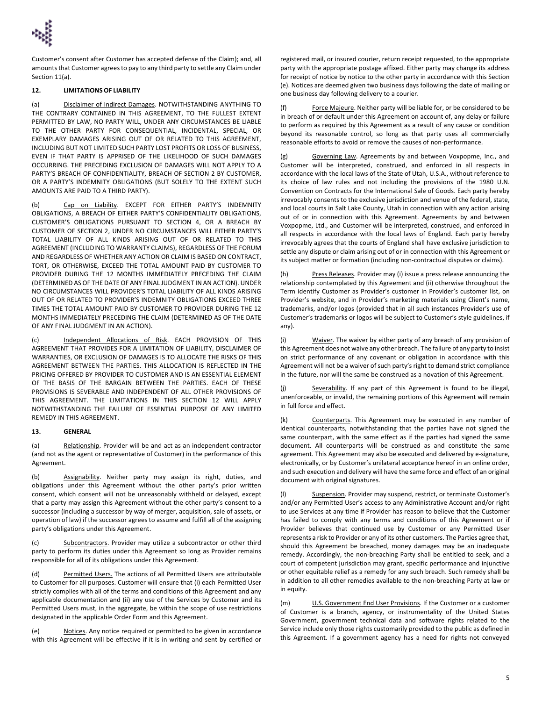Customer's consent after Customer has accepted defense of the Claim); and, all amounts that Customer agrees to pay to any third party to settle any Claim under Section 11(a).

## **12. LIMITATIONS OF LIABILITY**

(a) Disclaimer of Indirect Damages. NOTWITHSTANDING ANYTHING TO THE CONTRARY CONTAINED IN THIS AGREEMENT, TO THE FULLEST EXTENT PERMITTED BY LAW, NO PARTY WILL, UNDER ANY CIRCUMSTANCES BE LIABLE TO THE OTHER PARTY FOR CONSEQUENTIAL, INCIDENTAL, SPECIAL, OR EXEMPLARY DAMAGES ARISING OUT OF OR RELATED TO THIS AGREEMENT, INCLUDING BUT NOT LIMITED SUCH PARTY LOST PROFITS OR LOSS OF BUSINESS, EVEN IF THAT PARTY IS APPRISED OF THE LIKELIHOOD OF SUCH DAMAGES OCCURRING. THE PRECEDING EXCLUSION OF DAMAGES WILL NOT APPLY TO A PARTY'S BREACH OF CONFIDENTIALITY, BREACH OF SECTION 2 BY CUSTOMER, OR A PARTY'S INDEMNITY OBLIGATIONS (BUT SOLELY TO THE EXTENT SUCH AMOUNTS ARE PAID TO A THIRD PARTY).

(b) Cap on Liability. EXCEPT FOR EITHER PARTY'S INDEMNITY OBLIGATIONS, A BREACH OF EITHER PARTY'S CONFIDENTIALITY OBLIGATIONS, CUSTOMER'S OBLIGATIONS PURSUANT TO SECTION 4, OR A BREACH BY CUSTOMER OF SECTION 2, UNDER NO CIRCUMSTANCES WILL EITHER PARTY'S TOTAL LIABILITY OF ALL KINDS ARISING OUT OF OR RELATED TO THIS AGREEMENT (INCLUDING TO WARRANTY CLAIMS), REGARDLESS OF THE FORUM AND REGARDLESS OF WHETHER ANY ACTION OR CLAIM IS BASED ON CONTRACT, TORT, OR OTHERWISE, EXCEED THE TOTAL AMOUNT PAID BY CUSTOMER TO PROVIDER DURING THE 12 MONTHS IMMEDIATELY PRECEDING THE CLAIM (DETERMINED AS OF THE DATE OF ANY FINAL JUDGMENT IN AN ACTION). UNDER NO CIRCUMSTANCES WILL PROVIDER'S TOTAL LIABILITY OF ALL KINDS ARISING OUT OF OR RELATED TO PROVIDER'S INDEMNITY OBLIGATIONS EXCEED THREE TIMES THE TOTAL AMOUNT PAID BY CUSTOMER TO PROVIDER DURING THE 12 MONTHS IMMEDIATELY PRECEDING THE CLAIM (DETERMINED AS OF THE DATE OF ANY FINAL JUDGMENT IN AN ACTION).

(c) Independent Allocations of Risk. EACH PROVISION OF THIS AGREEMENT THAT PROVIDES FOR A LIMITATION OF LIABILITY, DISCLAIMER OF WARRANTIES, OR EXCLUSION OF DAMAGES IS TO ALLOCATE THE RISKS OF THIS AGREEMENT BETWEEN THE PARTIES. THIS ALLOCATION IS REFLECTED IN THE PRICING OFFERED BY PROVIDER TO CUSTOMER AND IS AN ESSENTIAL ELEMENT OF THE BASIS OF THE BARGAIN BETWEEN THE PARTIES. EACH OF THESE PROVISIONS IS SEVERABLE AND INDEPENDENT OF ALL OTHER PROVISIONS OF THIS AGREEMENT. THE LIMITATIONS IN THIS SECTION 12 WILL APPLY NOTWITHSTANDING THE FAILURE OF ESSENTIAL PURPOSE OF ANY LIMITED REMEDY IN THIS AGREEMENT.

## **13. GENERAL**

(a) Relationship. Provider will be and act as an independent contractor (and not as the agent or representative of Customer) in the performance of this Agreement.

(b) Assignability. Neither party may assign its right, duties, and obligations under this Agreement without the other party's prior written consent, which consent will not be unreasonably withheld or delayed, except that a party may assign this Agreement without the other party's consent to a successor (including a successor by way of merger, acquisition, sale of assets, or operation of law) if the successor agrees to assume and fulfill all of the assigning party's obligations under this Agreement.

(c) Subcontractors. Provider may utilize a subcontractor or other third party to perform its duties under this Agreement so long as Provider remains responsible for all of its obligations under this Agreement.

(d) Permitted Users. The actions of all Permitted Users are attributable to Customer for all purposes. Customer will ensure that (i) each Permitted User strictly complies with all of the terms and conditions of this Agreement and any applicable documentation and (ii) any use of the Services by Customer and its Permitted Users must, in the aggregate, be within the scope of use restrictions designated in the applicable Order Form and this Agreement.

(e) Notices. Any notice required or permitted to be given in accordance with this Agreement will be effective if it is in writing and sent by certified or registered mail, or insured courier, return receipt requested, to the appropriate party with the appropriate postage affixed. Either party may change its address for receipt of notice by notice to the other party in accordance with this Section (e). Notices are deemed given two business days following the date of mailing or one business day following delivery to a courier.

(f) Force Majeure. Neither party will be liable for, or be considered to be in breach of or default under this Agreement on account of, any delay or failure to perform as required by this Agreement as a result of any cause or condition beyond its reasonable control, so long as that party uses all commercially reasonable efforts to avoid or remove the causes of non-performance.

(g) Governing Law. Agreements by and between Voxpopme, Inc., and Customer will be interpreted, construed, and enforced in all respects in accordance with the local laws of the State of Utah, U.S.A., without reference to its choice of law rules and not including the provisions of the 1980 U.N. Convention on Contracts for the International Sale of Goods. Each party hereby irrevocably consents to the exclusive jurisdiction and venue of the federal, state, and local courts in Salt Lake County, Utah in connection with any action arising out of or in connection with this Agreement. Agreements by and between Voxpopme, Ltd., and Customer will be interpreted, construed, and enforced in all respects in accordance with the local laws of England. Each party hereby irrevocably agrees that the courts of England shall have exclusive jurisdiction to settle any dispute or claim arising out of or in connection with this Agreement or its subject matter or formation (including non-contractual disputes or claims).

(h) Press Releases. Provider may (i) issue a press release announcing the relationship contemplated by this Agreement and (ii) otherwise throughout the Term identify Customer as Provider's customer in Provider's customer list, on Provider's website, and in Provider's marketing materials using Client's name, trademarks, and/or logos (provided that in all such instances Provider's use of Customer's trademarks or logos will be subject to Customer's style guidelines, if any).

(i) Waiver. The waiver by either party of any breach of any provision of this Agreement does not waive any other breach. The failure of any party to insist on strict performance of any covenant or obligation in accordance with this Agreement will not be a waiver of such party's right to demand strict compliance in the future, nor will the same be construed as a novation of this Agreement.

(j) Severability. If any part of this Agreement is found to be illegal, unenforceable, or invalid, the remaining portions of this Agreement will remain in full force and effect.

(k) Counterparts. This Agreement may be executed in any number of identical counterparts, notwithstanding that the parties have not signed the same counterpart, with the same effect as if the parties had signed the same document. All counterparts will be construed as and constitute the same agreement. This Agreement may also be executed and delivered by e-signature, electronically, or by Customer's unilateral acceptance hereof in an online order, and such execution and delivery will have the same force and effect of an original document with original signatures.

(l) Suspension. Provider may suspend, restrict, or terminate Customer's and/or any Permitted User's access to any Administrative Account and/or right to use Services at any time if Provider has reason to believe that the Customer has failed to comply with any terms and conditions of this Agreement or if Provider believes that continued use by Customer or any Permitted User represents a risk to Provider or any of its other customers. The Parties agree that, should this Agreement be breached, money damages may be an inadequate remedy. Accordingly, the non-breaching Party shall be entitled to seek, and a court of competent jurisdiction may grant, specific performance and injunctive or other equitable relief as a remedy for any such breach. Such remedy shall be in addition to all other remedies available to the non-breaching Party at law or in equity.

(m) U.S. Government End User Provisions. If the Customer or a customer of Customer is a branch, agency, or instrumentality of the United States Government, government technical data and software rights related to the Service include only those rights customarily provided to the public as defined in this Agreement. If a government agency has a need for rights not conveyed